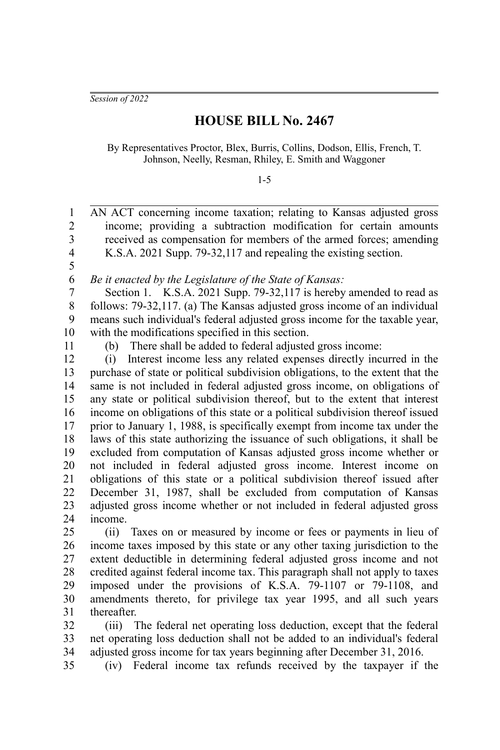*Session of 2022*

## **HOUSE BILL No. 2467**

By Representatives Proctor, Blex, Burris, Collins, Dodson, Ellis, French, T. Johnson, Neelly, Resman, Rhiley, E. Smith and Waggoner

1-5

AN ACT concerning income taxation; relating to Kansas adjusted gross income; providing a subtraction modification for certain amounts received as compensation for members of the armed forces; amending K.S.A. 2021 Supp. 79-32,117 and repealing the existing section. *Be it enacted by the Legislature of the State of Kansas:* Section 1. K.S.A. 2021 Supp. 79-32,117 is hereby amended to read as follows: 79-32,117. (a) The Kansas adjusted gross income of an individual means such individual's federal adjusted gross income for the taxable year, with the modifications specified in this section. (b) There shall be added to federal adjusted gross income: (i) Interest income less any related expenses directly incurred in the purchase of state or political subdivision obligations, to the extent that the same is not included in federal adjusted gross income, on obligations of any state or political subdivision thereof, but to the extent that interest income on obligations of this state or a political subdivision thereof issued prior to January 1, 1988, is specifically exempt from income tax under the laws of this state authorizing the issuance of such obligations, it shall be excluded from computation of Kansas adjusted gross income whether or not included in federal adjusted gross income. Interest income on obligations of this state or a political subdivision thereof issued after December 31, 1987, shall be excluded from computation of Kansas adjusted gross income whether or not included in federal adjusted gross income. (ii) Taxes on or measured by income or fees or payments in lieu of income taxes imposed by this state or any other taxing jurisdiction to the extent deductible in determining federal adjusted gross income and not credited against federal income tax. This paragraph shall not apply to taxes imposed under the provisions of K.S.A. 79-1107 or 79-1108, and amendments thereto, for privilege tax year 1995, and all such years thereafter. 1 2 3 4 5 6 7 8 9 10 11 12 13 14 15 16 17 18 19 20 21 22 23 24 25 26 27 28 29 30 31

(iii) The federal net operating loss deduction, except that the federal net operating loss deduction shall not be added to an individual's federal adjusted gross income for tax years beginning after December 31, 2016. 32 33 34

(iv) Federal income tax refunds received by the taxpayer if the 35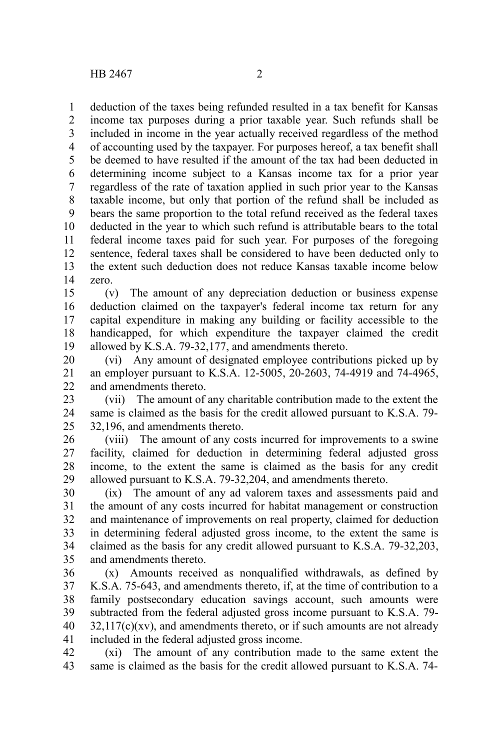deduction of the taxes being refunded resulted in a tax benefit for Kansas income tax purposes during a prior taxable year. Such refunds shall be included in income in the year actually received regardless of the method of accounting used by the taxpayer. For purposes hereof, a tax benefit shall be deemed to have resulted if the amount of the tax had been deducted in determining income subject to a Kansas income tax for a prior year regardless of the rate of taxation applied in such prior year to the Kansas taxable income, but only that portion of the refund shall be included as bears the same proportion to the total refund received as the federal taxes deducted in the year to which such refund is attributable bears to the total federal income taxes paid for such year. For purposes of the foregoing sentence, federal taxes shall be considered to have been deducted only to the extent such deduction does not reduce Kansas taxable income below zero. 1 2 3 4 5 6 7 8 9 10 11 12 13 14

(v) The amount of any depreciation deduction or business expense deduction claimed on the taxpayer's federal income tax return for any capital expenditure in making any building or facility accessible to the handicapped, for which expenditure the taxpayer claimed the credit allowed by K.S.A. 79-32,177, and amendments thereto. 15 16 17 18 19

(vi) Any amount of designated employee contributions picked up by an employer pursuant to K.S.A. 12-5005, 20-2603, 74-4919 and 74-4965, and amendments thereto. 20 21 22

(vii) The amount of any charitable contribution made to the extent the same is claimed as the basis for the credit allowed pursuant to K.S.A. 79- 32,196, and amendments thereto. 23 24 25

(viii) The amount of any costs incurred for improvements to a swine facility, claimed for deduction in determining federal adjusted gross income, to the extent the same is claimed as the basis for any credit allowed pursuant to K.S.A. 79-32,204, and amendments thereto. 26 27 28 29

(ix) The amount of any ad valorem taxes and assessments paid and the amount of any costs incurred for habitat management or construction and maintenance of improvements on real property, claimed for deduction in determining federal adjusted gross income, to the extent the same is claimed as the basis for any credit allowed pursuant to K.S.A. 79-32,203, and amendments thereto. 30 31 32 33 34 35

(x) Amounts received as nonqualified withdrawals, as defined by K.S.A. 75-643, and amendments thereto, if, at the time of contribution to a family postsecondary education savings account, such amounts were subtracted from the federal adjusted gross income pursuant to K.S.A. 79-  $32,117(c)(xy)$ , and amendments thereto, or if such amounts are not already included in the federal adjusted gross income. 36 37 38 39 40 41

(xi) The amount of any contribution made to the same extent the same is claimed as the basis for the credit allowed pursuant to K.S.A. 74- 42 43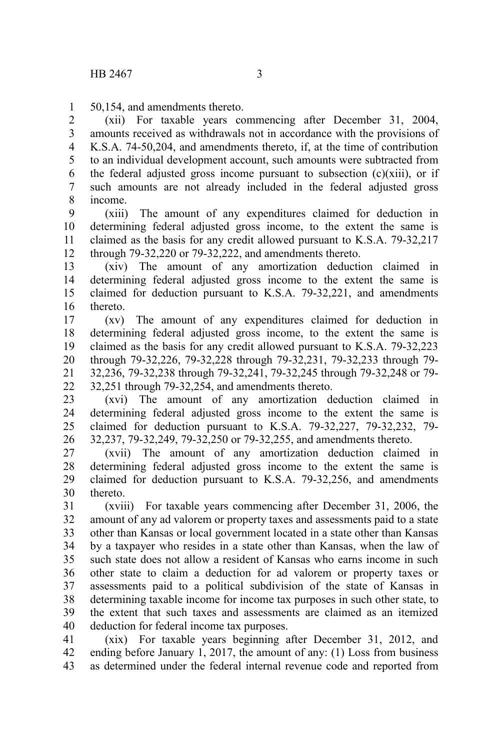50,154, and amendments thereto. 1

(xii) For taxable years commencing after December 31, 2004, amounts received as withdrawals not in accordance with the provisions of K.S.A. 74-50,204, and amendments thereto, if, at the time of contribution to an individual development account, such amounts were subtracted from the federal adjusted gross income pursuant to subsection  $(c)(xiii)$ , or if such amounts are not already included in the federal adjusted gross income. 2 3 4 5 6 7 8

(xiii) The amount of any expenditures claimed for deduction in determining federal adjusted gross income, to the extent the same is claimed as the basis for any credit allowed pursuant to K.S.A. 79-32,217 through 79-32,220 or 79-32,222, and amendments thereto. 9 10 11 12

(xiv) The amount of any amortization deduction claimed in determining federal adjusted gross income to the extent the same is claimed for deduction pursuant to K.S.A. 79-32,221, and amendments thereto. 13 14 15 16

(xv) The amount of any expenditures claimed for deduction in determining federal adjusted gross income, to the extent the same is claimed as the basis for any credit allowed pursuant to K.S.A. 79-32,223 through 79-32,226, 79-32,228 through 79-32,231, 79-32,233 through 79- 32,236, 79-32,238 through 79-32,241, 79-32,245 through 79-32,248 or 79- 32,251 through 79-32,254, and amendments thereto. 17 18 19 20 21 22

(xvi) The amount of any amortization deduction claimed in determining federal adjusted gross income to the extent the same is claimed for deduction pursuant to K.S.A. 79-32,227, 79-32,232, 79- 32,237, 79-32,249, 79-32,250 or 79-32,255, and amendments thereto. 23 24 25 26

(xvii) The amount of any amortization deduction claimed in determining federal adjusted gross income to the extent the same is claimed for deduction pursuant to K.S.A. 79-32,256, and amendments thereto. 27 28 29 30

(xviii) For taxable years commencing after December 31, 2006, the amount of any ad valorem or property taxes and assessments paid to a state other than Kansas or local government located in a state other than Kansas by a taxpayer who resides in a state other than Kansas, when the law of such state does not allow a resident of Kansas who earns income in such other state to claim a deduction for ad valorem or property taxes or assessments paid to a political subdivision of the state of Kansas in determining taxable income for income tax purposes in such other state, to the extent that such taxes and assessments are claimed as an itemized deduction for federal income tax purposes. 31 32 33 34 35 36 37 38 39 40

(xix) For taxable years beginning after December 31, 2012, and ending before January 1, 2017, the amount of any: (1) Loss from business as determined under the federal internal revenue code and reported from 41 42 43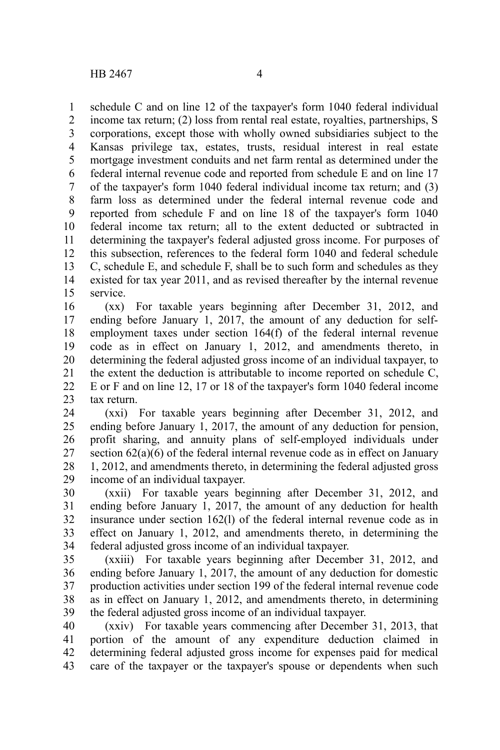schedule C and on line 12 of the taxpayer's form 1040 federal individual income tax return; (2) loss from rental real estate, royalties, partnerships, S corporations, except those with wholly owned subsidiaries subject to the Kansas privilege tax, estates, trusts, residual interest in real estate mortgage investment conduits and net farm rental as determined under the federal internal revenue code and reported from schedule E and on line 17 of the taxpayer's form 1040 federal individual income tax return; and (3) farm loss as determined under the federal internal revenue code and reported from schedule F and on line 18 of the taxpayer's form 1040 federal income tax return; all to the extent deducted or subtracted in determining the taxpayer's federal adjusted gross income. For purposes of this subsection, references to the federal form 1040 and federal schedule C, schedule E, and schedule F, shall be to such form and schedules as they existed for tax year 2011, and as revised thereafter by the internal revenue service. 1 2 3 4 5 6 7 8 9 10 11 12 13 14 15

(xx) For taxable years beginning after December 31, 2012, and ending before January 1, 2017, the amount of any deduction for selfemployment taxes under section 164(f) of the federal internal revenue code as in effect on January 1, 2012, and amendments thereto, in determining the federal adjusted gross income of an individual taxpayer, to the extent the deduction is attributable to income reported on schedule C, E or F and on line 12, 17 or 18 of the taxpayer's form 1040 federal income tax return. 16 17 18 19 20 21 22 23

(xxi) For taxable years beginning after December 31, 2012, and ending before January 1, 2017, the amount of any deduction for pension, profit sharing, and annuity plans of self-employed individuals under section 62(a)(6) of the federal internal revenue code as in effect on January 1, 2012, and amendments thereto, in determining the federal adjusted gross income of an individual taxpayer. 24 25 26 27 28 29

(xxii) For taxable years beginning after December 31, 2012, and ending before January 1, 2017, the amount of any deduction for health insurance under section 162(l) of the federal internal revenue code as in effect on January 1, 2012, and amendments thereto, in determining the federal adjusted gross income of an individual taxpayer. 30 31 32 33 34

(xxiii) For taxable years beginning after December 31, 2012, and ending before January 1, 2017, the amount of any deduction for domestic production activities under section 199 of the federal internal revenue code as in effect on January 1, 2012, and amendments thereto, in determining the federal adjusted gross income of an individual taxpayer. 35 36 37 38 39

(xxiv) For taxable years commencing after December 31, 2013, that portion of the amount of any expenditure deduction claimed in determining federal adjusted gross income for expenses paid for medical care of the taxpayer or the taxpayer's spouse or dependents when such 40 41 42 43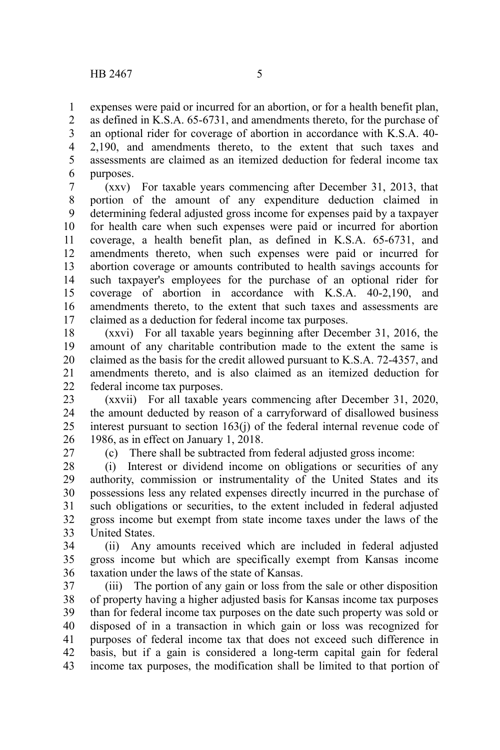expenses were paid or incurred for an abortion, or for a health benefit plan, as defined in K.S.A. 65-6731, and amendments thereto, for the purchase of an optional rider for coverage of abortion in accordance with K.S.A. 40- 2,190, and amendments thereto, to the extent that such taxes and assessments are claimed as an itemized deduction for federal income tax purposes. 1 2 3 4 5 6

(xxv) For taxable years commencing after December 31, 2013, that portion of the amount of any expenditure deduction claimed in determining federal adjusted gross income for expenses paid by a taxpayer for health care when such expenses were paid or incurred for abortion coverage, a health benefit plan, as defined in K.S.A. 65-6731, and amendments thereto, when such expenses were paid or incurred for abortion coverage or amounts contributed to health savings accounts for such taxpayer's employees for the purchase of an optional rider for coverage of abortion in accordance with K.S.A. 40-2,190, and amendments thereto, to the extent that such taxes and assessments are claimed as a deduction for federal income tax purposes. 7 8 9 10 11 12 13 14 15 16 17

(xxvi) For all taxable years beginning after December 31, 2016, the amount of any charitable contribution made to the extent the same is claimed as the basis for the credit allowed pursuant to K.S.A. 72-4357, and amendments thereto, and is also claimed as an itemized deduction for federal income tax purposes. 18 19 20 21 22

(xxvii) For all taxable years commencing after December 31, 2020, the amount deducted by reason of a carryforward of disallowed business interest pursuant to section 163(j) of the federal internal revenue code of 1986, as in effect on January 1, 2018. 23 24 25 26

27

(c) There shall be subtracted from federal adjusted gross income:

(i) Interest or dividend income on obligations or securities of any authority, commission or instrumentality of the United States and its possessions less any related expenses directly incurred in the purchase of such obligations or securities, to the extent included in federal adjusted gross income but exempt from state income taxes under the laws of the United States. 28 29 30 31 32 33

(ii) Any amounts received which are included in federal adjusted gross income but which are specifically exempt from Kansas income taxation under the laws of the state of Kansas. 34 35 36

(iii) The portion of any gain or loss from the sale or other disposition of property having a higher adjusted basis for Kansas income tax purposes than for federal income tax purposes on the date such property was sold or disposed of in a transaction in which gain or loss was recognized for purposes of federal income tax that does not exceed such difference in basis, but if a gain is considered a long-term capital gain for federal income tax purposes, the modification shall be limited to that portion of 37 38 39 40 41 42 43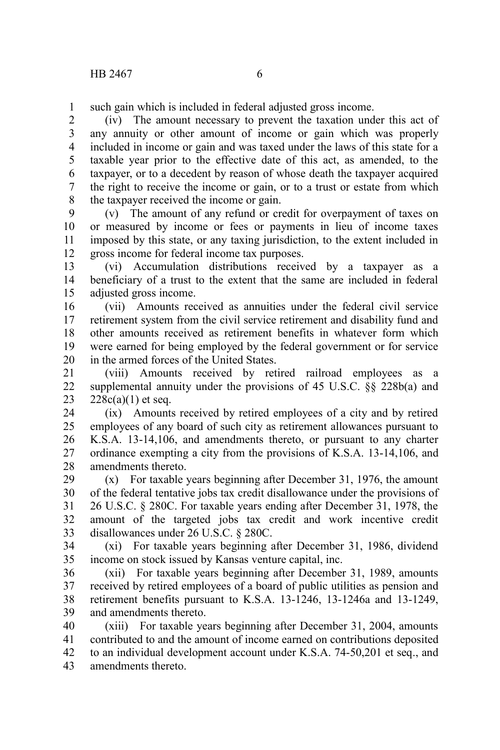such gain which is included in federal adjusted gross income. 1

(iv) The amount necessary to prevent the taxation under this act of any annuity or other amount of income or gain which was properly included in income or gain and was taxed under the laws of this state for a taxable year prior to the effective date of this act, as amended, to the taxpayer, or to a decedent by reason of whose death the taxpayer acquired the right to receive the income or gain, or to a trust or estate from which the taxpayer received the income or gain. 2 3 4 5 6 7 8

(v) The amount of any refund or credit for overpayment of taxes on or measured by income or fees or payments in lieu of income taxes imposed by this state, or any taxing jurisdiction, to the extent included in gross income for federal income tax purposes. 9 10 11 12

(vi) Accumulation distributions received by a taxpayer as a beneficiary of a trust to the extent that the same are included in federal adjusted gross income. 13 14 15

(vii) Amounts received as annuities under the federal civil service retirement system from the civil service retirement and disability fund and other amounts received as retirement benefits in whatever form which were earned for being employed by the federal government or for service in the armed forces of the United States. 16 17 18 19 20

(viii) Amounts received by retired railroad employees as a supplemental annuity under the provisions of 45 U.S.C. §§ 228b(a) and  $228c(a)(1)$  et seq. 21 22 23

(ix) Amounts received by retired employees of a city and by retired employees of any board of such city as retirement allowances pursuant to K.S.A. 13-14,106, and amendments thereto, or pursuant to any charter ordinance exempting a city from the provisions of K.S.A. 13-14,106, and amendments thereto. 24 25 26 27 28

(x) For taxable years beginning after December 31, 1976, the amount of the federal tentative jobs tax credit disallowance under the provisions of 26 U.S.C. § 280C. For taxable years ending after December 31, 1978, the amount of the targeted jobs tax credit and work incentive credit disallowances under 26 U.S.C. § 280C. 29 30 31 32 33

(xi) For taxable years beginning after December 31, 1986, dividend income on stock issued by Kansas venture capital, inc. 34 35

(xii) For taxable years beginning after December 31, 1989, amounts received by retired employees of a board of public utilities as pension and retirement benefits pursuant to K.S.A. 13-1246, 13-1246a and 13-1249, and amendments thereto. 36 37 38 39

(xiii) For taxable years beginning after December 31, 2004, amounts contributed to and the amount of income earned on contributions deposited to an individual development account under K.S.A. 74-50,201 et seq., and amendments thereto. 40 41 42 43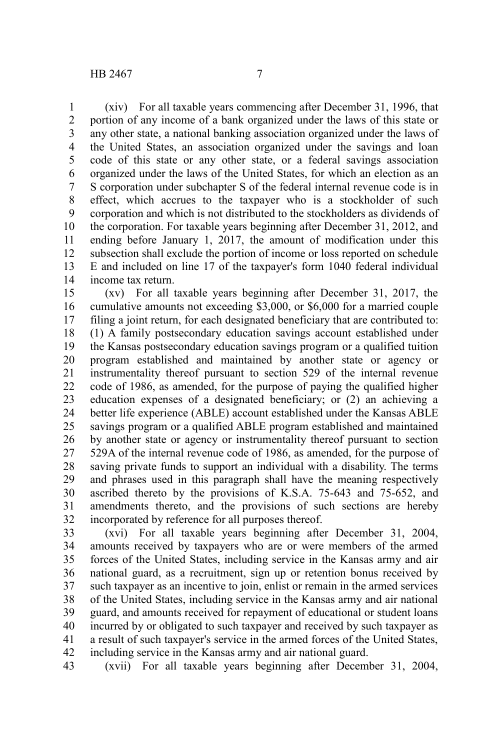(xiv) For all taxable years commencing after December 31, 1996, that portion of any income of a bank organized under the laws of this state or any other state, a national banking association organized under the laws of the United States, an association organized under the savings and loan code of this state or any other state, or a federal savings association organized under the laws of the United States, for which an election as an S corporation under subchapter S of the federal internal revenue code is in effect, which accrues to the taxpayer who is a stockholder of such corporation and which is not distributed to the stockholders as dividends of the corporation. For taxable years beginning after December 31, 2012, and ending before January 1, 2017, the amount of modification under this subsection shall exclude the portion of income or loss reported on schedule E and included on line 17 of the taxpayer's form 1040 federal individual income tax return. 1 2 3 4 5 6 7 8 9 10 11 12 13 14

(xv) For all taxable years beginning after December 31, 2017, the cumulative amounts not exceeding \$3,000, or \$6,000 for a married couple filing a joint return, for each designated beneficiary that are contributed to: (1) A family postsecondary education savings account established under the Kansas postsecondary education savings program or a qualified tuition program established and maintained by another state or agency or instrumentality thereof pursuant to section 529 of the internal revenue code of 1986, as amended, for the purpose of paying the qualified higher education expenses of a designated beneficiary; or (2) an achieving a better life experience (ABLE) account established under the Kansas ABLE savings program or a qualified ABLE program established and maintained by another state or agency or instrumentality thereof pursuant to section 529A of the internal revenue code of 1986, as amended, for the purpose of saving private funds to support an individual with a disability. The terms and phrases used in this paragraph shall have the meaning respectively ascribed thereto by the provisions of K.S.A. 75-643 and 75-652, and amendments thereto, and the provisions of such sections are hereby incorporated by reference for all purposes thereof. 15 16 17 18 19 20 21 22 23 24 25 26 27 28 29 30 31 32

(xvi) For all taxable years beginning after December 31, 2004, amounts received by taxpayers who are or were members of the armed forces of the United States, including service in the Kansas army and air national guard, as a recruitment, sign up or retention bonus received by such taxpayer as an incentive to join, enlist or remain in the armed services of the United States, including service in the Kansas army and air national guard, and amounts received for repayment of educational or student loans incurred by or obligated to such taxpayer and received by such taxpayer as a result of such taxpayer's service in the armed forces of the United States, including service in the Kansas army and air national guard. 33 34 35 36 37 38 39 40 41 42

(xvii) For all taxable years beginning after December 31, 2004, 43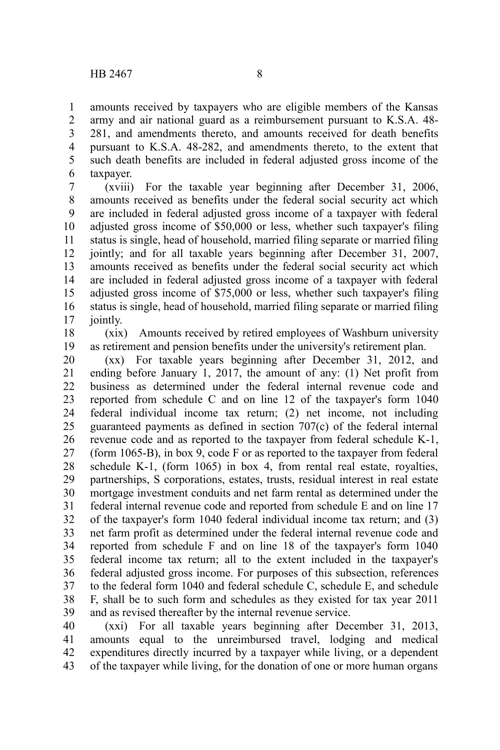amounts received by taxpayers who are eligible members of the Kansas army and air national guard as a reimbursement pursuant to K.S.A. 48- 281, and amendments thereto, and amounts received for death benefits pursuant to K.S.A. 48-282, and amendments thereto, to the extent that such death benefits are included in federal adjusted gross income of the taxpayer. 1 2 3 4 5 6

(xviii) For the taxable year beginning after December 31, 2006, amounts received as benefits under the federal social security act which are included in federal adjusted gross income of a taxpayer with federal adjusted gross income of \$50,000 or less, whether such taxpayer's filing status is single, head of household, married filing separate or married filing jointly; and for all taxable years beginning after December 31, 2007, amounts received as benefits under the federal social security act which are included in federal adjusted gross income of a taxpayer with federal adjusted gross income of \$75,000 or less, whether such taxpayer's filing status is single, head of household, married filing separate or married filing jointly. 7 8 9 10 11 12 13 14 15 16 17

(xix) Amounts received by retired employees of Washburn university as retirement and pension benefits under the university's retirement plan. 18 19

(xx) For taxable years beginning after December 31, 2012, and ending before January 1, 2017, the amount of any: (1) Net profit from business as determined under the federal internal revenue code and reported from schedule C and on line 12 of the taxpayer's form 1040 federal individual income tax return; (2) net income, not including guaranteed payments as defined in section 707(c) of the federal internal revenue code and as reported to the taxpayer from federal schedule K-1, (form 1065-B), in box 9, code F or as reported to the taxpayer from federal schedule K-1, (form 1065) in box 4, from rental real estate, royalties, partnerships, S corporations, estates, trusts, residual interest in real estate mortgage investment conduits and net farm rental as determined under the federal internal revenue code and reported from schedule E and on line 17 of the taxpayer's form 1040 federal individual income tax return; and (3) net farm profit as determined under the federal internal revenue code and reported from schedule F and on line 18 of the taxpayer's form 1040 federal income tax return; all to the extent included in the taxpayer's federal adjusted gross income. For purposes of this subsection, references to the federal form 1040 and federal schedule C, schedule E, and schedule F, shall be to such form and schedules as they existed for tax year 2011 and as revised thereafter by the internal revenue service. 20 21 22 23 24 25 26 27 28 29 30 31 32 33 34 35 36 37 38 39

(xxi) For all taxable years beginning after December 31, 2013, amounts equal to the unreimbursed travel, lodging and medical expenditures directly incurred by a taxpayer while living, or a dependent of the taxpayer while living, for the donation of one or more human organs 40 41 42 43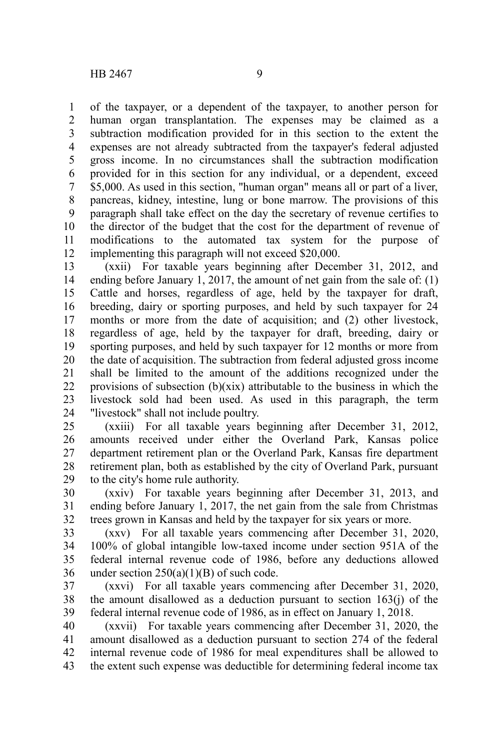of the taxpayer, or a dependent of the taxpayer, to another person for human organ transplantation. The expenses may be claimed as a subtraction modification provided for in this section to the extent the expenses are not already subtracted from the taxpayer's federal adjusted gross income. In no circumstances shall the subtraction modification provided for in this section for any individual, or a dependent, exceed \$5,000. As used in this section, "human organ" means all or part of a liver, pancreas, kidney, intestine, lung or bone marrow. The provisions of this paragraph shall take effect on the day the secretary of revenue certifies to the director of the budget that the cost for the department of revenue of modifications to the automated tax system for the purpose of implementing this paragraph will not exceed \$20,000. 1 2 3 4 5 6 7 8 9 10 11 12

(xxii) For taxable years beginning after December 31, 2012, and ending before January 1, 2017, the amount of net gain from the sale of: (1) Cattle and horses, regardless of age, held by the taxpayer for draft, breeding, dairy or sporting purposes, and held by such taxpayer for 24 months or more from the date of acquisition; and (2) other livestock, regardless of age, held by the taxpayer for draft, breeding, dairy or sporting purposes, and held by such taxpayer for 12 months or more from the date of acquisition. The subtraction from federal adjusted gross income shall be limited to the amount of the additions recognized under the provisions of subsection  $(b)(xix)$  attributable to the business in which the livestock sold had been used. As used in this paragraph, the term "livestock" shall not include poultry. 13 14 15 16 17 18 19 20 21 22 23 24

(xxiii) For all taxable years beginning after December 31, 2012, amounts received under either the Overland Park, Kansas police department retirement plan or the Overland Park, Kansas fire department retirement plan, both as established by the city of Overland Park, pursuant to the city's home rule authority. 25 26 27 28 29

(xxiv) For taxable years beginning after December 31, 2013, and ending before January 1, 2017, the net gain from the sale from Christmas trees grown in Kansas and held by the taxpayer for six years or more. 30 31 32

(xxv) For all taxable years commencing after December 31, 2020, 100% of global intangible low-taxed income under section 951A of the federal internal revenue code of 1986, before any deductions allowed under section  $250(a)(1)(B)$  of such code. 33 34 35 36

(xxvi) For all taxable years commencing after December 31, 2020, the amount disallowed as a deduction pursuant to section 163(j) of the federal internal revenue code of 1986, as in effect on January 1, 2018. 37 38 39

(xxvii) For taxable years commencing after December 31, 2020, the amount disallowed as a deduction pursuant to section 274 of the federal internal revenue code of 1986 for meal expenditures shall be allowed to the extent such expense was deductible for determining federal income tax 40 41 42 43